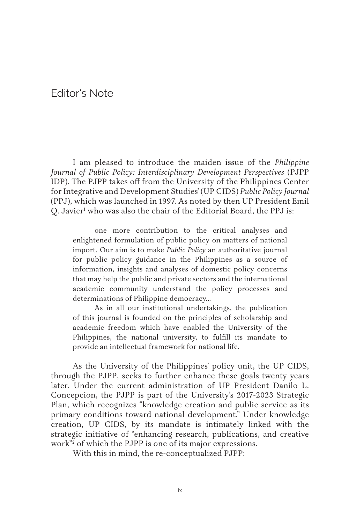## Editor's Note

I am pleased to introduce the maiden issue of the *Philippine Journal of Public Policy: Interdisciplinary Development Perspectives* (PJPP IDP). The PJPP takes off from the University of the Philippines Center for Integrative and Development Studies' (UP CIDS) *Public Policy Journal*  (PPJ), which was launched in 1997. As noted by then UP President Emil Q. Javier<sup>1</sup> who was also the chair of the Editorial Board, the PPJ is:

one more contribution to the critical analyses and enlightened formulation of public policy on matters of national import. Our aim is to make *Public Policy* an authoritative journal for public policy guidance in the Philippines as a source of information, insights and analyses of domestic policy concerns that may help the public and private sectors and the international academic community understand the policy processes and determinations of Philippine democracy…

As in all our institutional undertakings, the publication of this journal is founded on the principles of scholarship and academic freedom which have enabled the University of the Philippines, the national university, to fulfill its mandate to provide an intellectual framework for national life.

As the University of the Philippines' policy unit, the UP CIDS, through the PJPP, seeks to further enhance these goals twenty years later. Under the current administration of UP President Danilo L. Concepcion, the PJPP is part of the University's 2017-2023 Strategic Plan, which recognizes "knowledge creation and public service as its primary conditions toward national development." Under knowledge creation, UP CIDS, by its mandate is intimately linked with the strategic initiative of "enhancing research, publications, and creative work"2 of which the PJPP is one of its major expressions.

With this in mind, the re-conceptualized PJPP: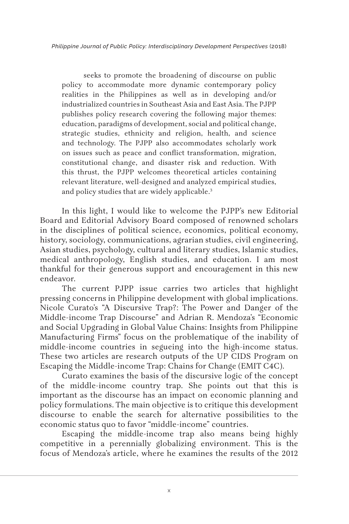*Philippine Journal of Public Policy: Interdisciplinary Development Perspectives* (2018)

seeks to promote the broadening of discourse on public policy to accommodate more dynamic contemporary policy realities in the Philippines as well as in developing and/or industrialized countries in Southeast Asia and East Asia. The PJPP publishes policy research covering the following major themes: education, paradigms of development, social and political change, strategic studies, ethnicity and religion, health, and science and technology. The PJPP also accommodates scholarly work on issues such as peace and conflict transformation, migration, constitutional change, and disaster risk and reduction. With this thrust, the PJPP welcomes theoretical articles containing relevant literature, well-designed and analyzed empirical studies, and policy studies that are widely applicable.<sup>3</sup>

In this light, I would like to welcome the PJPP's new Editorial Board and Editorial Advisory Board composed of renowned scholars in the disciplines of political science, economics, political economy, history, sociology, communications, agrarian studies, civil engineering, Asian studies, psychology, cultural and literary studies, Islamic studies, medical anthropology, English studies, and education. I am most thankful for their generous support and encouragement in this new endeavor.

The current PJPP issue carries two articles that highlight pressing concerns in Philippine development with global implications. Nicole Curato's "A Discursive Trap?: The Power and Danger of the Middle-income Trap Discourse" and Adrian R. Mendoza's "Economic and Social Upgrading in Global Value Chains: Insights from Philippine Manufacturing Firms" focus on the problematique of the inability of middle-income countries in segueing into the high-income status. These two articles are research outputs of the UP CIDS Program on Escaping the Middle-income Trap: Chains for Change (EMIT C4C).

Curato examines the basis of the discursive logic of the concept of the middle-income country trap. She points out that this is important as the discourse has an impact on economic planning and policy formulations. The main objective is to critique this development discourse to enable the search for alternative possibilities to the economic status quo to favor "middle-income" countries.

Escaping the middle-income trap also means being highly competitive in a perennially globalizing environment. This is the focus of Mendoza's article, where he examines the results of the 2012

x